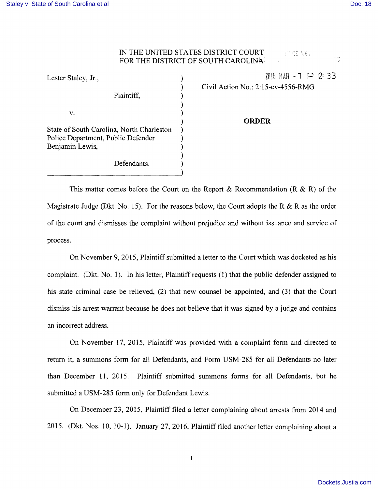## IN THE UNITED STATES DISTRICT COURT **PECEIVE:** FOR THE DISTRICT OF SOUTH CAROLINA:

| Lester Staley, Jr.,                       |  |
|-------------------------------------------|--|
|                                           |  |
| Plaintiff,                                |  |
|                                           |  |
| v.                                        |  |
| State of South Carolina, North Charleston |  |
| Police Department, Public Defender        |  |
| Benjamin Lewis,                           |  |
|                                           |  |
| Defendants.                               |  |

Lester Staley, Jr.,  $\qquad \qquad$  ) 2016 MAR - 1 P 12: 33 ) Civil Action No.: 2:15-cv-4556-RMG

## ) **ORDER**

This matter comes before the Court on the Report & Recommendation (R & R) of the Magistrate Judge (Dkt. No. 15). For the reasons below, the Court adopts the R & R as the order of the court and dismisses the complaint without prejudice and without issuance and service of process.

On November 9,2015, Plaintiff submitted a letter to the Court which was docketed as his complaint. (Dkt. No.1). In his letter, Plaintiff requests (l) that the public defender assigned to his state criminal case be relieved, (2) that new counsel be appointed, and (3) that the Court dismiss his arrest warrant because he does not believe that it was signed by a judge and contains an incorrect address.

On November 17,2015, Plaintiff was provided with a complaint form and directed to return it, a summons form for all Defendants, and Form USM-285 for all Defendants no later than December 11, 2015. Plaintiff submitted summons forms for all Defendants, but he submitted a USM-285 form only for Defendant Lewis.

On December 23,2015, Plaintiff filed a letter complaining about arrests from 2014 and 2015. (Dkt. Nos. 10, 10-1). January 27, 2016, Plaintiff filed another letter complaining about a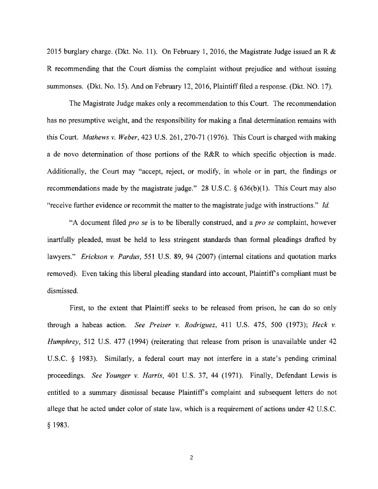2015 burglary charge. (Dkt. No. 11). On February 1, 2016, the Magistrate Judge issued an R & R recommending that the Court dismiss the complaint without prejudice and without issuing summonses. (Dkt. No. 15). And on February 12, 2016, Plaintiff filed a response. (Dkt. NO. 17).

The Magistrate Judge makes only a recommendation to this Court. The recommendation has no presumptive weight, and the responsibility for making a final determination remains with this Court. *Mathews* v. *Weber,* 423 U.S. 261,270-71 (1976). This Court is charged with making a de novo determination of those portions of the R&R to which specific objection is made. Additionally, the Court may "accept, reject, or modify, in whole or in part, the findings or recommendations made by the magistrate judge." 28 U.S.C.  $\S$  636(b)(1). This Court may also "receive further evidence or recommit the matter to the magistrate judge with instructions." Id.

"A document filed *pro se* is to be liberally construed, and a *pro se* complaint, however inartfully pleaded, must be held to less stringent standards than formal pleadings drafted by lawyers." *Erickson v. Pardus*, 551 U.S. 89, 94 (2007) (internal citations and quotation marks removed). Even taking this liberal pleading standard into account, Plaintiff s compliant must be dismissed.

First, to the extent that Plaintiff seeks to be released from prison, he can do so only through a habeas action. *See Preiser* v. *Rodriguez,* 411 U.S. 475, 500 (1973); *Heck* v. *Humphrey,* 512 U.S. 477 (1994) (reiterating that release from prison is unavailable under 42 US.C. § 1983). Similarly, a federal court may not interfere in a state's pending criminal proceedings. *See Younger* v. *Harris,* 401 U.S. 37, 44 (1971). Finally, Defendant Lewis is entitled to a summary dismissal because Plaintiff's complaint and subsequent letters do not allege that he acted under color of state law, which is a requirement of actions under 42 U.S.C. § 1983.

2